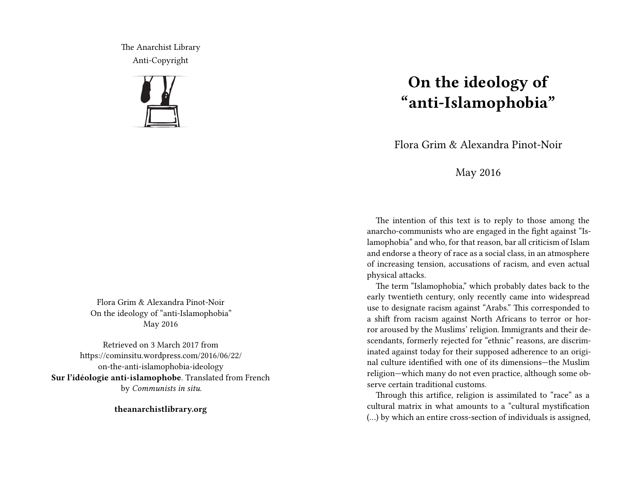The Anarchist Library Anti-Copyright



Flora Grim & Alexandra Pinot-Noir On the ideology of "anti-Islamophobia" May 2016

Retrieved on 3 March 2017 from https://cominsitu.wordpress.com/2016/06/22/ on-the-anti-islamophobia-ideology **Sur l'idéologie anti-islamophobe**. Translated from French by *Communists in situ*.

**theanarchistlibrary.org**

## **On the ideology of "anti-Islamophobia"**

Flora Grim & Alexandra Pinot-Noir

## May 2016

The intention of this text is to reply to those among the anarcho-communists who are engaged in the fight against "Islamophobia" and who, for that reason, bar all criticism of Islam and endorse a theory of race as a social class, in an atmosphere of increasing tension, accusations of racism, and even actual physical attacks.

The term "Islamophobia," which probably dates back to the early twentieth century, only recently came into widespread use to designate racism against "Arabs." This corresponded to a shift from racism against North Africans to terror or horror aroused by the Muslims' religion. Immigrants and their descendants, formerly rejected for "ethnic" reasons, are discriminated against today for their supposed adherence to an original culture identified with one of its dimensions—the Muslim religion—which many do not even practice, although some observe certain traditional customs.

Through this artifice, religion is assimilated to "race" as a cultural matrix in what amounts to a "cultural mystification (…) by which an entire cross-section of individuals is assigned,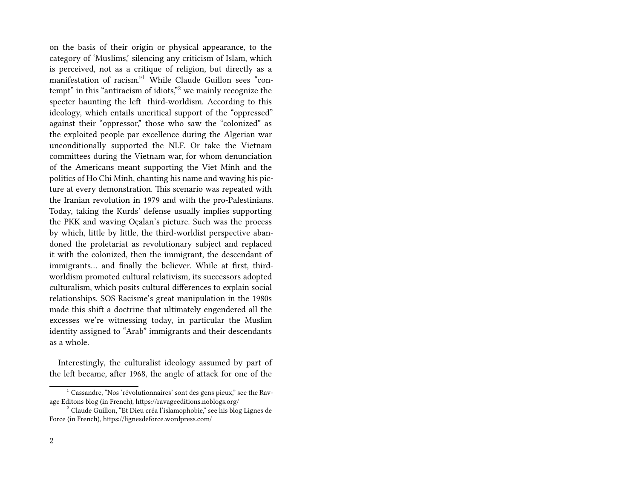on the basis of their origin or physical appearance, to the category of 'Muslims,' silencing any criticism of Islam, which is perceived, not as a critique of religion, but directly as a manifestation of racism."<sup>1</sup> While Claude Guillon sees "contempt" in this "antiracism of idiots,"<sup>2</sup> we mainly recognize the specter haunting the left—third-worldism. According to this ideology, which entails uncritical support of the "oppressed" against their "oppressor," those who saw the "colonized" as the exploited people par excellence during the Algerian war unconditionally supported the NLF. Or take the Vietnam committees during the Vietnam war, for whom denunciation of the Americans meant supporting the Viet Minh and the politics of Ho Chi Minh, chanting his name and waving his picture at every demonstration. This scenario was repeated with the Iranian revolution in 1979 and with the pro-Palestinians. Today, taking the Kurds' defense usually implies supporting the PKK and waving Oçalan's picture. Such was the process by which, little by little, the third-worldist perspective abandoned the proletariat as revolutionary subject and replaced it with the colonized, then the immigrant, the descendant of immigrants… and finally the believer. While at first, thirdworldism promoted cultural relativism, its successors adopted culturalism, which posits cultural differences to explain social relationships. SOS Racisme's great manipulation in the 1980s made this shift a doctrine that ultimately engendered all the excesses we're witnessing today, in particular the Muslim identity assigned to "Arab" immigrants and their descendants as a whole.

Interestingly, the culturalist ideology assumed by part of the left became, after 1968, the angle of attack for one of the

 $<sup>1</sup>$  Cassandre, "Nos 'révolutionnaires' sont des gens pieux," see the Rav-</sup> age Editons blog (in French), https://ravageeditions.noblogs.org/

<sup>2</sup> Claude Guillon, "Et Dieu créa l'islamophobie," see his blog Lignes de Force (in French), https://lignesdeforce.wordpress.com/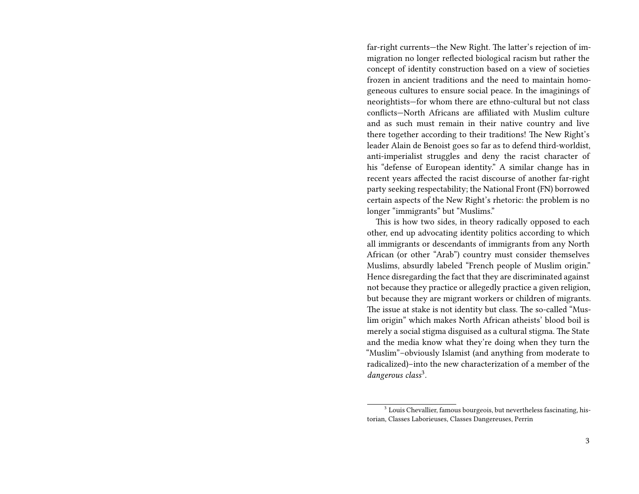far-right currents—the New Right. The latter's rejection of immigration no longer reflected biological racism but rather the concept of identity construction based on a view of societies frozen in ancient traditions and the need to maintain homogeneous cultures to ensure social peace. In the imaginings of neorightists—for whom there are ethno-cultural but not class conflicts—North Africans are affiliated with Muslim culture and as such must remain in their native country and live there together according to their traditions! The New Right's leader Alain de Benoist goes so far as to defend third-worldist, anti-imperialist struggles and deny the racist character of his "defense of European identity." A similar change has in recent years affected the racist discourse of another far-right party seeking respectability; the National Front (FN) borrowed certain aspects of the New Right's rhetoric: the problem is no longer "immigrants" but "Muslims."

This is how two sides, in theory radically opposed to each other, end up advocating identity politics according to which all immigrants or descendants of immigrants from any North African (or other "Arab") country must consider themselves Muslims, absurdly labeled "French people of Muslim origin." Hence disregarding the fact that they are discriminated against not because they practice or allegedly practice a given religion, but because they are migrant workers or children of migrants. The issue at stake is not identity but class. The so-called "Muslim origin" which makes North African atheists' blood boil is merely a social stigma disguised as a cultural stigma. The State and the media know what they're doing when they turn the "Muslim"–obviously Islamist (and anything from moderate to radicalized)–into the new characterization of a member of the dangerous class<sup>3</sup>.

<sup>&</sup>lt;sup>3</sup> Louis Chevallier, famous bourgeois, but nevertheless fascinating, historian, Classes Laborieuses, Classes Dangereuses, Perrin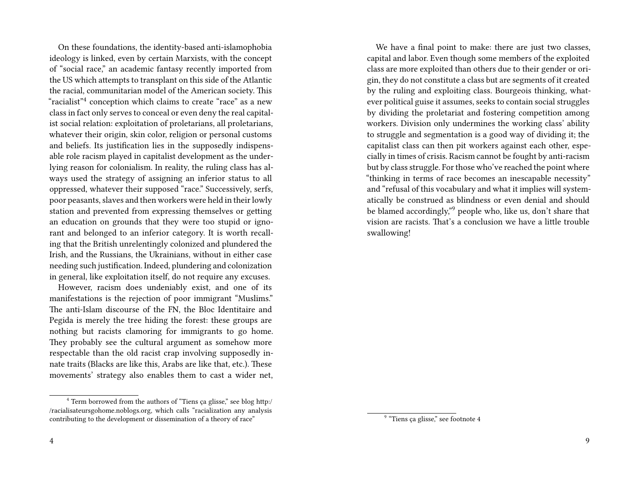On these foundations, the identity-based anti-islamophobia ideology is linked, even by certain Marxists, with the concept of "social race," an academic fantasy recently imported from the US which attempts to transplant on this side of the Atlantic the racial, communitarian model of the American society. This "racialist"<sup>4</sup> conception which claims to create "race" as a new class in fact only serves to conceal or even deny the real capitalist social relation: exploitation of proletarians, all proletarians, whatever their origin, skin color, religion or personal customs and beliefs. Its justification lies in the supposedly indispensable role racism played in capitalist development as the underlying reason for colonialism. In reality, the ruling class has always used the strategy of assigning an inferior status to all oppressed, whatever their supposed "race." Successively, serfs, poor peasants, slaves and then workers were held in their lowly station and prevented from expressing themselves or getting an education on grounds that they were too stupid or ignorant and belonged to an inferior category. It is worth recalling that the British unrelentingly colonized and plundered the Irish, and the Russians, the Ukrainians, without in either case needing such justification. Indeed, plundering and colonization in general, like exploitation itself, do not require any excuses.

However, racism does undeniably exist, and one of its manifestations is the rejection of poor immigrant "Muslims." The anti-Islam discourse of the FN, the Bloc Identitaire and Pegida is merely the tree hiding the forest: these groups are nothing but racists clamoring for immigrants to go home. They probably see the cultural argument as somehow more respectable than the old racist crap involving supposedly innate traits (Blacks are like this, Arabs are like that, etc.). These movements' strategy also enables them to cast a wider net,

We have a final point to make: there are just two classes, capital and labor. Even though some members of the exploited class are more exploited than others due to their gender or origin, they do not constitute a class but are segments of it created by the ruling and exploiting class. Bourgeois thinking, whatever political guise it assumes, seeks to contain social struggles by dividing the proletariat and fostering competition among workers. Division only undermines the working class' ability to struggle and segmentation is a good way of dividing it; the capitalist class can then pit workers against each other, especially in times of crisis. Racism cannot be fought by anti-racism but by class struggle. For those who've reached the point where "thinking in terms of race becomes an inescapable necessity" and "refusal of this vocabulary and what it implies will systematically be construed as blindness or even denial and should be blamed accordingly,"<sup>9</sup> people who, like us, don't share that vision are racists. That's a conclusion we have a little trouble swallowing!

<sup>&</sup>lt;sup>4</sup> Term borrowed from the authors of "Tiens ça glisse," see blog http:/ /racialisateursgohome.noblogs.org, which calls "racialization any analysis contributing to the development or dissemination of a theory of race"

<sup>&</sup>lt;sup>9</sup> "Tiens ça glisse," see footnote 4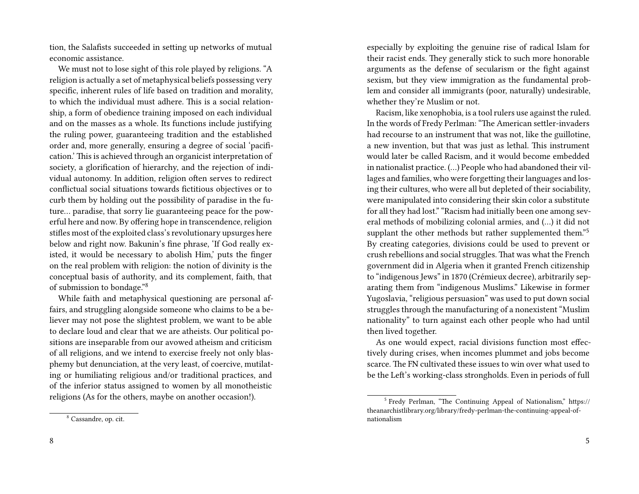tion, the Salafists succeeded in setting up networks of mutual economic assistance.

We must not to lose sight of this role played by religions. "A religion is actually a set of metaphysical beliefs possessing very specific, inherent rules of life based on tradition and morality, to which the individual must adhere. This is a social relationship, a form of obedience training imposed on each individual and on the masses as a whole. Its functions include justifying the ruling power, guaranteeing tradition and the established order and, more generally, ensuring a degree of social 'pacification.' This is achieved through an organicist interpretation of society, a glorification of hierarchy, and the rejection of individual autonomy. In addition, religion often serves to redirect conflictual social situations towards fictitious objectives or to curb them by holding out the possibility of paradise in the future… paradise, that sorry lie guaranteeing peace for the powerful here and now. By offering hope in transcendence, religion stifles most of the exploited class's revolutionary upsurges here below and right now. Bakunin's fine phrase, 'If God really existed, it would be necessary to abolish Him,' puts the finger on the real problem with religion: the notion of divinity is the conceptual basis of authority, and its complement, faith, that of submission to bondage."<sup>8</sup>

While faith and metaphysical questioning are personal affairs, and struggling alongside someone who claims to be a believer may not pose the slightest problem, we want to be able to declare loud and clear that we are atheists. Our political positions are inseparable from our avowed atheism and criticism of all religions, and we intend to exercise freely not only blasphemy but denunciation, at the very least, of coercive, mutilating or humiliating religious and/or traditional practices, and of the inferior status assigned to women by all monotheistic religions (As for the others, maybe on another occasion!).

especially by exploiting the genuine rise of radical Islam for their racist ends. They generally stick to such more honorable arguments as the defense of secularism or the fight against sexism, but they view immigration as the fundamental problem and consider all immigrants (poor, naturally) undesirable, whether they're Muslim or not.

Racism, like xenophobia, is a tool rulers use against the ruled. In the words of Fredy Perlman: "The American settler-invaders had recourse to an instrument that was not, like the guillotine, a new invention, but that was just as lethal. This instrument would later be called Racism, and it would become embedded in nationalist practice. (…) People who had abandoned their villages and families, who were forgetting their languages and losing their cultures, who were all but depleted of their sociability, were manipulated into considering their skin color a substitute for all they had lost." "Racism had initially been one among several methods of mobilizing colonial armies, and (…) it did not supplant the other methods but rather supplemented them."<sup>5</sup> By creating categories, divisions could be used to prevent or crush rebellions and social struggles. That was what the French government did in Algeria when it granted French citizenship to "indigenous Jews" in 1870 (Crémieux decree), arbitrarily separating them from "indigenous Muslims." Likewise in former Yugoslavia, "religious persuasion" was used to put down social struggles through the manufacturing of a nonexistent "Muslim nationality" to turn against each other people who had until then lived together.

As one would expect, racial divisions function most effectively during crises, when incomes plummet and jobs become scarce. The FN cultivated these issues to win over what used to be the Left's working-class strongholds. Even in periods of full

<sup>8</sup> Cassandre, op. cit.

<sup>&</sup>lt;sup>5</sup> Fredy Perlman, "The Continuing Appeal of Nationalism," https:// theanarchistlibrary.org/library/fredy-perlman-the-continuing-appeal-ofnationalism